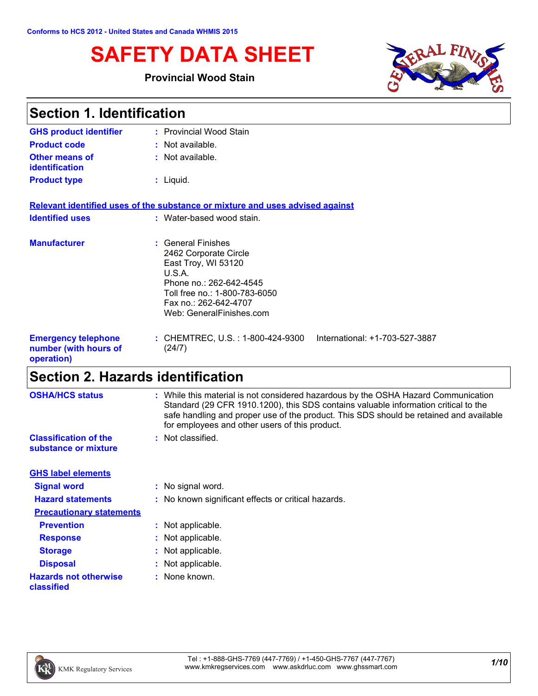# **SAFETY DATA SHEET**

#### **Provincial Wood Stain**



| <b>Section 1. Identification</b>                                  |                                                                                                                                                                                               |  |
|-------------------------------------------------------------------|-----------------------------------------------------------------------------------------------------------------------------------------------------------------------------------------------|--|
| <b>GHS product identifier</b>                                     | : Provincial Wood Stain                                                                                                                                                                       |  |
| <b>Product code</b>                                               | : Not available.                                                                                                                                                                              |  |
| Other means of<br><b>identification</b>                           | : Not available.                                                                                                                                                                              |  |
| <b>Product type</b>                                               | $:$ Liquid.                                                                                                                                                                                   |  |
|                                                                   | Relevant identified uses of the substance or mixture and uses advised against                                                                                                                 |  |
| <b>Identified uses</b>                                            | : Water-based wood stain.                                                                                                                                                                     |  |
| <b>Manufacturer</b>                                               | : General Finishes<br>2462 Corporate Circle<br>East Troy, WI 53120<br>U.S.A.<br>Phone no.: 262-642-4545<br>Toll free no.: 1-800-783-6050<br>Fax no.: 262-642-4707<br>Web: GeneralFinishes.com |  |
| <b>Emergency telephone</b><br>number (with hours of<br>operation) | : CHEMTREC, U.S. : 1-800-424-9300<br>International: +1-703-527-3887<br>(24/7)                                                                                                                 |  |

# **Section 2. Hazards identification**

| <b>OSHA/HCS status</b>                               | : While this material is not considered hazardous by the OSHA Hazard Communication<br>Standard (29 CFR 1910.1200), this SDS contains valuable information critical to the<br>safe handling and proper use of the product. This SDS should be retained and available<br>for employees and other users of this product. |
|------------------------------------------------------|-----------------------------------------------------------------------------------------------------------------------------------------------------------------------------------------------------------------------------------------------------------------------------------------------------------------------|
| <b>Classification of the</b><br>substance or mixture | : Not classified.                                                                                                                                                                                                                                                                                                     |
| <b>GHS label elements</b>                            |                                                                                                                                                                                                                                                                                                                       |
| <b>Signal word</b>                                   | : No signal word.                                                                                                                                                                                                                                                                                                     |
| <b>Hazard statements</b>                             | : No known significant effects or critical hazards.                                                                                                                                                                                                                                                                   |
| <b>Precautionary statements</b>                      |                                                                                                                                                                                                                                                                                                                       |
| <b>Prevention</b>                                    | : Not applicable.                                                                                                                                                                                                                                                                                                     |
| <b>Response</b>                                      | : Not applicable.                                                                                                                                                                                                                                                                                                     |
| <b>Storage</b>                                       | : Not applicable.                                                                                                                                                                                                                                                                                                     |
| <b>Disposal</b>                                      | : Not applicable.                                                                                                                                                                                                                                                                                                     |
| <b>Hazards not otherwise</b><br>classified           | : None known.                                                                                                                                                                                                                                                                                                         |
|                                                      |                                                                                                                                                                                                                                                                                                                       |

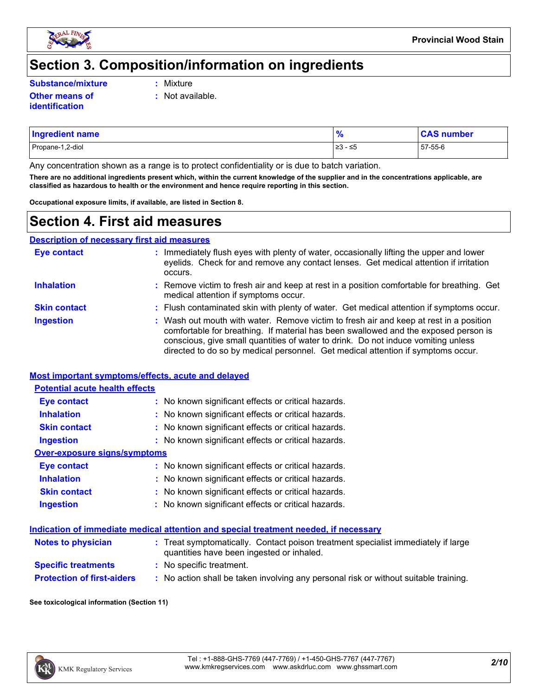

### **Section 3. Composition/information on ingredients**

**Substance/mixture :**

- Mixture
- **Other means of identification**
- **:** Not available.
- Propane-1,2-diol ≥3 ≤5 57-55-6 **Ingredient name % CAS number**

Any concentration shown as a range is to protect confidentiality or is due to batch variation.

**There are no additional ingredients present which, within the current knowledge of the supplier and in the concentrations applicable, are classified as hazardous to health or the environment and hence require reporting in this section.**

**Occupational exposure limits, if available, are listed in Section 8.**

### **Section 4. First aid measures**

**Description of necessary first aid measures**

| <b>Eye contact</b>  | : Immediately flush eyes with plenty of water, occasionally lifting the upper and lower<br>eyelids. Check for and remove any contact lenses. Get medical attention if irritation<br>occurs.                                                                                                                                                            |
|---------------------|--------------------------------------------------------------------------------------------------------------------------------------------------------------------------------------------------------------------------------------------------------------------------------------------------------------------------------------------------------|
| <b>Inhalation</b>   | : Remove victim to fresh air and keep at rest in a position comfortable for breathing. Get<br>medical attention if symptoms occur.                                                                                                                                                                                                                     |
| <b>Skin contact</b> | : Flush contaminated skin with plenty of water. Get medical attention if symptoms occur.                                                                                                                                                                                                                                                               |
| <b>Ingestion</b>    | : Wash out mouth with water. Remove victim to fresh air and keep at rest in a position<br>comfortable for breathing. If material has been swallowed and the exposed person is<br>conscious, give small quantities of water to drink. Do not induce vomiting unless<br>directed to do so by medical personnel. Get medical attention if symptoms occur. |

#### **Most important symptoms/effects, acute and delayed**

| <b>Potential acute health effects</b> |                                                     |  |  |  |  |
|---------------------------------------|-----------------------------------------------------|--|--|--|--|
| Eye contact                           | : No known significant effects or critical hazards. |  |  |  |  |
| <b>Inhalation</b>                     | : No known significant effects or critical hazards. |  |  |  |  |
| <b>Skin contact</b>                   | : No known significant effects or critical hazards. |  |  |  |  |
| <b>Ingestion</b>                      | : No known significant effects or critical hazards. |  |  |  |  |
| Over-exposure signs/symptoms          |                                                     |  |  |  |  |
| Eye contact                           | : No known significant effects or critical hazards. |  |  |  |  |
| <b>Inhalation</b>                     | : No known significant effects or critical hazards. |  |  |  |  |
| <b>Skin contact</b>                   | : No known significant effects or critical hazards. |  |  |  |  |
| <b>Ingestion</b>                      | : No known significant effects or critical hazards. |  |  |  |  |

#### **Indication of immediate medical attention and special treatment needed, if necessary**

| <b>Notes to physician</b>         | : Treat symptomatically. Contact poison treatment specialist immediately if large<br>quantities have been ingested or inhaled. |
|-----------------------------------|--------------------------------------------------------------------------------------------------------------------------------|
| <b>Specific treatments</b>        | : No specific treatment.                                                                                                       |
| <b>Protection of first-aiders</b> | No action shall be taken involving any personal risk or without suitable training.                                             |

#### **See toxicological information (Section 11)**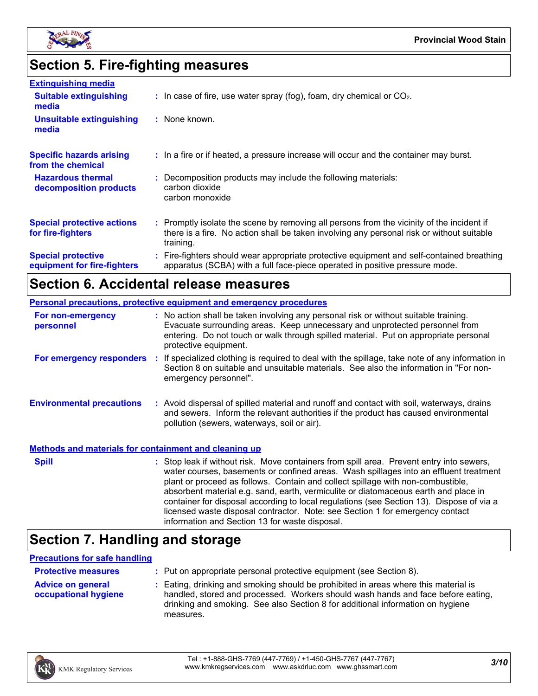

# **Section 5. Fire-fighting measures**

| <b>Extinguishing media</b>                               |                                                                                                                                                                                                     |
|----------------------------------------------------------|-----------------------------------------------------------------------------------------------------------------------------------------------------------------------------------------------------|
| <b>Suitable extinguishing</b><br>media                   | $\therefore$ In case of fire, use water spray (fog), foam, dry chemical or CO <sub>2</sub> .                                                                                                        |
| <b>Unsuitable extinguishing</b><br>media                 | : None known.                                                                                                                                                                                       |
| <b>Specific hazards arising</b><br>from the chemical     | : In a fire or if heated, a pressure increase will occur and the container may burst.                                                                                                               |
| <b>Hazardous thermal</b><br>decomposition products       | : Decomposition products may include the following materials:<br>carbon dioxide<br>carbon monoxide                                                                                                  |
| <b>Special protective actions</b><br>for fire-fighters   | : Promptly isolate the scene by removing all persons from the vicinity of the incident if<br>there is a fire. No action shall be taken involving any personal risk or without suitable<br>training. |
| <b>Special protective</b><br>equipment for fire-fighters | : Fire-fighters should wear appropriate protective equipment and self-contained breathing<br>apparatus (SCBA) with a full face-piece operated in positive pressure mode.                            |

## **Section 6. Accidental release measures**

|                                                              | <b>Personal precautions, protective equipment and emergency procedures</b>                                                                                                                                                                                                                                                                                                                                                                                                                                                                                                                 |
|--------------------------------------------------------------|--------------------------------------------------------------------------------------------------------------------------------------------------------------------------------------------------------------------------------------------------------------------------------------------------------------------------------------------------------------------------------------------------------------------------------------------------------------------------------------------------------------------------------------------------------------------------------------------|
| For non-emergency<br>personnel                               | : No action shall be taken involving any personal risk or without suitable training.<br>Evacuate surrounding areas. Keep unnecessary and unprotected personnel from<br>entering. Do not touch or walk through spilled material. Put on appropriate personal<br>protective equipment.                                                                                                                                                                                                                                                                                                       |
|                                                              | For emergency responders : If specialized clothing is required to deal with the spillage, take note of any information in<br>Section 8 on suitable and unsuitable materials. See also the information in "For non-<br>emergency personnel".                                                                                                                                                                                                                                                                                                                                                |
| <b>Environmental precautions</b>                             | : Avoid dispersal of spilled material and runoff and contact with soil, waterways, drains<br>and sewers. Inform the relevant authorities if the product has caused environmental<br>pollution (sewers, waterways, soil or air).                                                                                                                                                                                                                                                                                                                                                            |
| <b>Methods and materials for containment and cleaning up</b> |                                                                                                                                                                                                                                                                                                                                                                                                                                                                                                                                                                                            |
| <b>Spill</b>                                                 | : Stop leak if without risk. Move containers from spill area. Prevent entry into sewers,<br>water courses, basements or confined areas. Wash spillages into an effluent treatment<br>plant or proceed as follows. Contain and collect spillage with non-combustible,<br>absorbent material e.g. sand, earth, vermiculite or diatomaceous earth and place in<br>container for disposal according to local regulations (see Section 13). Dispose of via a<br>licensed waste disposal contractor. Note: see Section 1 for emergency contact<br>information and Section 13 for waste disposal. |

## **Section 7. Handling and storage**

#### **Precautions for safe handling**

| <b>Protective measures</b>                       | : Put on appropriate personal protective equipment (see Section 8).                                                                                                                                                                                                    |
|--------------------------------------------------|------------------------------------------------------------------------------------------------------------------------------------------------------------------------------------------------------------------------------------------------------------------------|
| <b>Advice on general</b><br>occupational hygiene | : Eating, drinking and smoking should be prohibited in areas where this material is<br>handled, stored and processed. Workers should wash hands and face before eating,<br>drinking and smoking. See also Section 8 for additional information on hygiene<br>measures. |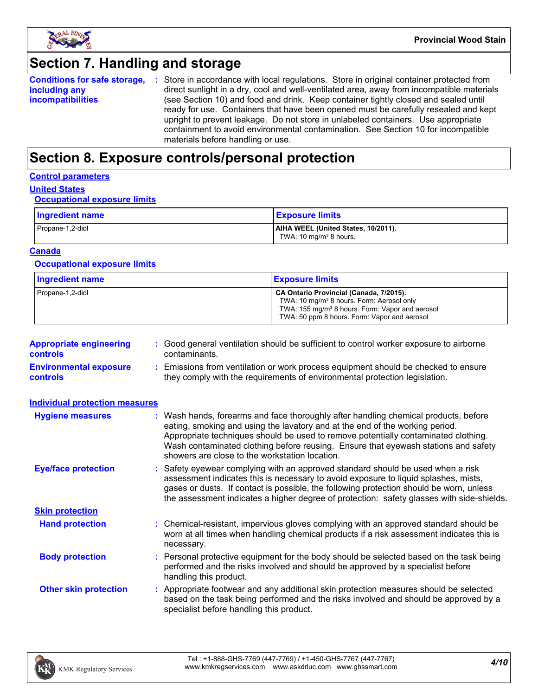

# **Section 7. Handling and storage**

|                          | <b>Conditions for safe storage, :</b> Store in accordance with local regulations. Store in original container protected from |
|--------------------------|------------------------------------------------------------------------------------------------------------------------------|
| including any            | direct sunlight in a dry, cool and well-ventilated area, away from incompatible materials                                    |
| <b>incompatibilities</b> | (see Section 10) and food and drink. Keep container tightly closed and sealed until                                          |
|                          | ready for use. Containers that have been opened must be carefully resealed and kept                                          |
|                          | upright to prevent leakage. Do not store in unlabeled containers. Use appropriate                                            |
|                          | containment to avoid environmental contamination. See Section 10 for incompatible                                            |
|                          | materials before handling or use.                                                                                            |

### **Section 8. Exposure controls/personal protection**

### **Control parameters**

### **United States**

#### **Occupational exposure limits**

| <b>Ingredient name</b> | <b>Exposure limits</b>                                                    |
|------------------------|---------------------------------------------------------------------------|
| Propane-1,2-diol       | AIHA WEEL (United States, 10/2011).<br>TWA: 10 mg/m <sup>3</sup> 8 hours. |

#### **Canada**

#### **Occupational exposure limits**

| <b>Ingredient name</b> | <b>Exposure limits</b>                                                                                                                                                                                          |
|------------------------|-----------------------------------------------------------------------------------------------------------------------------------------------------------------------------------------------------------------|
| Propane-1,2-diol       | CA Ontario Provincial (Canada, 7/2015).<br>TWA: 10 mg/m <sup>3</sup> 8 hours. Form: Aerosol only<br>TWA: 155 mg/m <sup>3</sup> 8 hours. Form: Vapor and aerosol<br>TWA: 50 ppm 8 hours. Form: Vapor and aerosol |

| <b>Appropriate engineering</b><br><b>controls</b> | : Good general ventilation should be sufficient to control worker exposure to airborne<br>contaminants.                                                          |
|---------------------------------------------------|------------------------------------------------------------------------------------------------------------------------------------------------------------------|
| <b>Environmental exposure</b><br><b>controls</b>  | : Emissions from ventilation or work process equipment should be checked to ensure<br>they comply with the requirements of environmental protection legislation. |

| <b>Individual protection measures</b> |                                                                                                                                                                                                                                                                                                                                                                                                   |
|---------------------------------------|---------------------------------------------------------------------------------------------------------------------------------------------------------------------------------------------------------------------------------------------------------------------------------------------------------------------------------------------------------------------------------------------------|
| <b>Hygiene measures</b>               | : Wash hands, forearms and face thoroughly after handling chemical products, before<br>eating, smoking and using the lavatory and at the end of the working period.<br>Appropriate techniques should be used to remove potentially contaminated clothing.<br>Wash contaminated clothing before reusing. Ensure that eyewash stations and safety<br>showers are close to the workstation location. |
| <b>Eye/face protection</b>            | : Safety eyewear complying with an approved standard should be used when a risk<br>assessment indicates this is necessary to avoid exposure to liquid splashes, mists,<br>gases or dusts. If contact is possible, the following protection should be worn, unless<br>the assessment indicates a higher degree of protection: safety glasses with side-shields.                                    |
| <b>Skin protection</b>                |                                                                                                                                                                                                                                                                                                                                                                                                   |
| <b>Hand protection</b>                | : Chemical-resistant, impervious gloves complying with an approved standard should be<br>worn at all times when handling chemical products if a risk assessment indicates this is<br>necessary.                                                                                                                                                                                                   |
| <b>Body protection</b>                | : Personal protective equipment for the body should be selected based on the task being<br>performed and the risks involved and should be approved by a specialist before<br>handling this product.                                                                                                                                                                                               |
| <b>Other skin protection</b>          | : Appropriate footwear and any additional skin protection measures should be selected<br>based on the task being performed and the risks involved and should be approved by a<br>specialist before handling this product.                                                                                                                                                                         |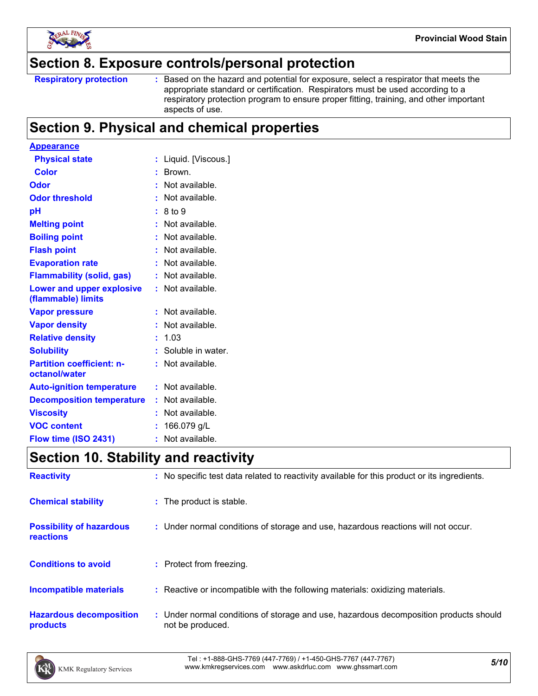

### **Section 8. Exposure controls/personal protection**

```
Respiratory protection :
```
Based on the hazard and potential for exposure, select a respirator that meets the appropriate standard or certification. Respirators must be used according to a respiratory protection program to ensure proper fitting, training, and other important aspects of use.

### **Section 9. Physical and chemical properties**

| <b>Appearance</b>                                 |                         |
|---------------------------------------------------|-------------------------|
| <b>Physical state</b>                             | Liquid. [Viscous.]<br>t |
| <b>Color</b>                                      | Brown.<br>t.            |
| Odor                                              | Not available.<br>÷.    |
| <b>Odor threshold</b>                             | Not available.          |
| рH                                                | 8 to 9                  |
| <b>Melting point</b>                              | Not available.          |
| <b>Boiling point</b>                              | Not available.<br>t.    |
| <b>Flash point</b>                                | Not available.<br>t.    |
| <b>Evaporation rate</b>                           | Not available.          |
| <b>Flammability (solid, gas)</b>                  | Not available.          |
| Lower and upper explosive<br>(flammable) limits   | : Not available.        |
| <b>Vapor pressure</b>                             | Not available.<br>t     |
| <b>Vapor density</b>                              | t.<br>Not available.    |
| <b>Relative density</b>                           | 1.03<br>t.              |
| <b>Solubility</b>                                 | Soluble in water.<br>t. |
| <b>Partition coefficient: n-</b><br>octanol/water | Not available.          |
| <b>Auto-ignition temperature</b>                  | $:$ Not available.      |
| <b>Decomposition temperature</b>                  | : Not available.        |
| <b>Viscosity</b>                                  | Not available.          |
| <b>VOC content</b>                                | 166.079 g/L<br>t        |
| Flow time (ISO 2431)                              | Not available.<br>۰     |

## **Section 10. Stability and reactivity**

| <b>Reactivity</b>                            | : No specific test data related to reactivity available for this product or its ingredients.              |
|----------------------------------------------|-----------------------------------------------------------------------------------------------------------|
| <b>Chemical stability</b>                    | : The product is stable.                                                                                  |
| <b>Possibility of hazardous</b><br>reactions | : Under normal conditions of storage and use, hazardous reactions will not occur.                         |
| <b>Conditions to avoid</b>                   | : Protect from freezing.                                                                                  |
| <b>Incompatible materials</b>                | : Reactive or incompatible with the following materials: oxidizing materials.                             |
| <b>Hazardous decomposition</b><br>products   | : Under normal conditions of storage and use, hazardous decomposition products should<br>not be produced. |

*5/10* Tel : +1-888-GHS-7769 (447-7769) / +1-450-GHS-7767 (447-7767) www.kmkregservices.com www.askdrluc.com www.ghssmart.com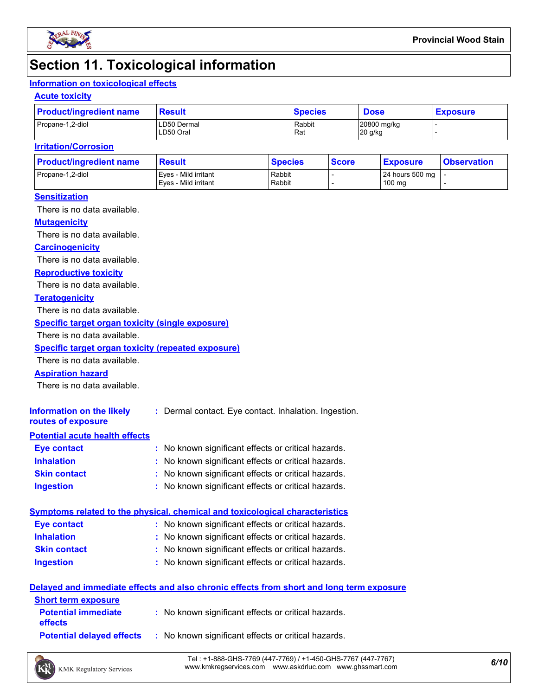

### **Section 11. Toxicological information**

### **Information on toxicological effects**

#### **Acute toxicity**

| <b>Product/ingredient name</b> | <b>Result</b>            | <b>Species</b> | <b>Dose</b>            | <b>Exposure</b> |  |
|--------------------------------|--------------------------|----------------|------------------------|-----------------|--|
| Propane-1,2-diol               | LD50 Dermal<br>LD50 Oral | Rabbit<br>Rat  | 20800 mg/kg<br>20 g/kg |                 |  |

#### **Irritation/Corrosion**

| <b>Product/ingredient name</b> | <b>Result</b>                                | <b>Species</b>   | <b>Score</b> | <u>  Exposure</u>         | <b>Observation</b> |
|--------------------------------|----------------------------------------------|------------------|--------------|---------------------------|--------------------|
| Propane-1,2-diol               | Eves - Mild irritant<br>Eves - Mild irritant | Rabbit<br>Rabbit |              | 24 hours 500 mg<br>100 mg |                    |
|                                |                                              |                  |              |                           |                    |

#### **Sensitization**

There is no data available.

#### **Mutagenicity**

There is no data available.

#### **Carcinogenicity**

There is no data available.

#### **Reproductive toxicity**

There is no data available.

#### **Teratogenicity**

There is no data available.

#### **Specific target organ toxicity (single exposure)**

There is no data available.

#### **Specific target organ toxicity (repeated exposure)**

There is no data available.

#### **Aspiration hazard**

There is no data available.

| Information on the likely<br>routes of exposure | : Dermal contact. Eye contact. Inhalation. Ingestion. |
|-------------------------------------------------|-------------------------------------------------------|
| <b>Potential acute health effects</b>           |                                                       |
| <b>Eye contact</b>                              | : No known significant effects or critical hazards.   |
| <b>Inhalation</b>                               | : No known significant effects or critical hazards.   |
| <b>Skin contact</b>                             | : No known significant effects or critical hazards.   |

#### **Ingestion :** No known significant effects or critical hazards.

|                     | Symptoms related to the physical, chemical and toxicological characteristics |  |
|---------------------|------------------------------------------------------------------------------|--|
| Eye contact         | : No known significant effects or critical hazards.                          |  |
| <b>Inhalation</b>   | : No known significant effects or critical hazards.                          |  |
| <b>Skin contact</b> | : No known significant effects or critical hazards.                          |  |
| <b>Ingestion</b>    | : No known significant effects or critical hazards.                          |  |

#### **Delayed and immediate effects and also chronic effects from short and long term exposure**

| <b>Short term exposure</b>                   |                                                     |
|----------------------------------------------|-----------------------------------------------------|
| <b>Potential immediate</b><br><b>effects</b> | : No known significant effects or critical hazards. |
| <b>Potential delaved effects</b>             | : No known significant effects or critical hazards. |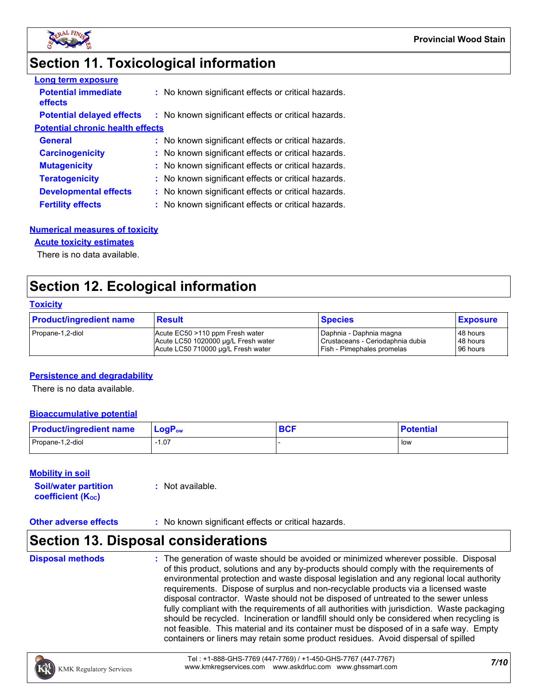

## **Section 11. Toxicological information**

| <b>Long term exposure</b>               |                                                     |
|-----------------------------------------|-----------------------------------------------------|
| <b>Potential immediate</b><br>effects   | : No known significant effects or critical hazards. |
| <b>Potential delayed effects</b>        | : No known significant effects or critical hazards. |
| <b>Potential chronic health effects</b> |                                                     |
| <b>General</b>                          | : No known significant effects or critical hazards. |
| <b>Carcinogenicity</b>                  | : No known significant effects or critical hazards. |
| <b>Mutagenicity</b>                     | : No known significant effects or critical hazards. |
| <b>Teratogenicity</b>                   | : No known significant effects or critical hazards. |
| <b>Developmental effects</b>            | : No known significant effects or critical hazards. |
| <b>Fertility effects</b>                | : No known significant effects or critical hazards. |

#### **Numerical measures of toxicity**

#### **Acute toxicity estimates**

There is no data available.

### **Section 12. Ecological information**

#### **Toxicity**

| <b>Product/ingredient name</b> | <b>Result</b>                       | <b>Species</b>                   | <b>Exposure</b> |
|--------------------------------|-------------------------------------|----------------------------------|-----------------|
| Propane-1,2-diol               | Acute EC50 >110 ppm Fresh water     | I Daphnia - Daphnia magna        | 48 hours        |
|                                | Acute LC50 1020000 ug/L Fresh water | Crustaceans - Ceriodaphnia dubia | 48 hours        |
|                                | Acute LC50 710000 ug/L Fresh water  | Fish - Pimephales promelas       | 96 hours        |

#### **Persistence and degradability**

There is no data available.

#### **Bioaccumulative potential**

| <b>Product/ingredient name</b> | $\mathsf{LogP}_\mathsf{ow}$ | <b>DAC</b><br><b>DUI</b> | <b>Potential</b> |
|--------------------------------|-----------------------------|--------------------------|------------------|
| Propane-1,2-diol               | 07، ا                       |                          | l low            |

#### **Mobility in soil**

| <b>Soil/water partition</b> | $:$ Not available. |
|-----------------------------|--------------------|
| <b>coefficient (Koc)</b>    |                    |

#### **Other adverse effects** : No known significant effects or critical hazards.

### **Section 13. Disposal considerations**

**Disposal methods :**

The generation of waste should be avoided or minimized wherever possible. Disposal of this product, solutions and any by-products should comply with the requirements of environmental protection and waste disposal legislation and any regional local authority requirements. Dispose of surplus and non-recyclable products via a licensed waste disposal contractor. Waste should not be disposed of untreated to the sewer unless fully compliant with the requirements of all authorities with jurisdiction. Waste packaging should be recycled. Incineration or landfill should only be considered when recycling is not feasible. This material and its container must be disposed of in a safe way. Empty containers or liners may retain some product residues. Avoid dispersal of spilled

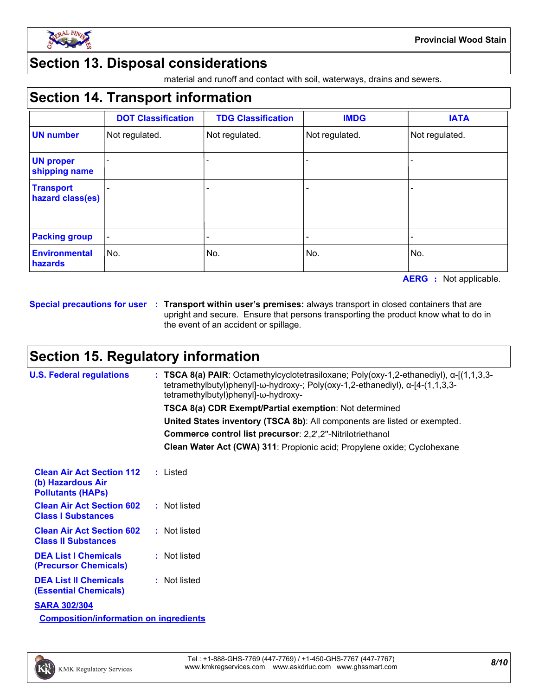

### **Section 13. Disposal considerations**

material and runoff and contact with soil, waterways, drains and sewers.

### **Section 14. Transport information**

|                                      | <b>DOT Classification</b> | <b>TDG Classification</b> | <b>IMDG</b>    | <b>IATA</b>    |
|--------------------------------------|---------------------------|---------------------------|----------------|----------------|
| <b>UN number</b>                     | Not regulated.            | Not regulated.            | Not regulated. | Not regulated. |
| <b>UN proper</b><br>shipping name    |                           |                           |                |                |
| <b>Transport</b><br>hazard class(es) |                           | -                         |                |                |
| <b>Packing group</b>                 |                           |                           |                |                |
| <b>Environmental</b><br>hazards      | No.                       | No.                       | No.            | No.            |

**AERG :** Not applicable.

**Special precautions for user Transport within user's premises:** always transport in closed containers that are **:** upright and secure. Ensure that persons transporting the product know what to do in the event of an accident or spillage.

### **Section 15. Regulatory information**

| <b>U.S. Federal regulations</b>                                                   | : TSCA 8(a) PAIR: Octamethylcyclotetrasiloxane; Poly(oxy-1,2-ethanediyl), $\alpha$ -[(1,1,3,3-<br>tetramethylbutyl)phenyl]-ω-hydroxy-; Poly(oxy-1,2-ethanediyl), α-[4-(1,1,3,3-<br>tetramethylbutyl)phenyl]-ω-hydroxy- |
|-----------------------------------------------------------------------------------|------------------------------------------------------------------------------------------------------------------------------------------------------------------------------------------------------------------------|
|                                                                                   | TSCA 8(a) CDR Exempt/Partial exemption: Not determined                                                                                                                                                                 |
|                                                                                   | United States inventory (TSCA 8b): All components are listed or exempted.                                                                                                                                              |
|                                                                                   | Commerce control list precursor: 2,2',2"-Nitrilotriethanol                                                                                                                                                             |
|                                                                                   | Clean Water Act (CWA) 311: Propionic acid; Propylene oxide; Cyclohexane                                                                                                                                                |
| <b>Clean Air Act Section 112</b><br>(b) Hazardous Air<br><b>Pollutants (HAPs)</b> | : Listed                                                                                                                                                                                                               |
| <b>Clean Air Act Section 602</b><br><b>Class I Substances</b>                     | : Not listed                                                                                                                                                                                                           |
| <b>Clean Air Act Section 602</b><br><b>Class II Substances</b>                    | : Not listed                                                                                                                                                                                                           |
| <b>DEA List I Chemicals</b><br>(Precursor Chemicals)                              | : Not listed                                                                                                                                                                                                           |
| <b>DEA List II Chemicals</b><br><b>(Essential Chemicals)</b>                      | : Not listed                                                                                                                                                                                                           |
| <b>SARA 302/304</b>                                                               |                                                                                                                                                                                                                        |
| <b>Composition/information on ingredients</b>                                     |                                                                                                                                                                                                                        |

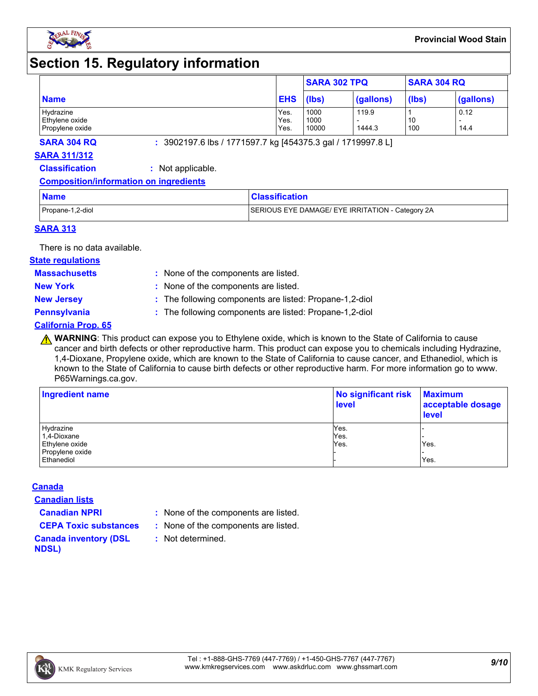

### **Section 15. Regulatory information**

|                                   |              | <b>SARA 302 TPQ</b> |           | <b>SARA 304 RQ</b> |           |
|-----------------------------------|--------------|---------------------|-----------|--------------------|-----------|
| <b>Name</b>                       | <b>EHS</b>   | (lbs)               | (gallons) | (lbs)              | (gallons) |
| Hydrazine                         | Yes.         | 1000                | 119.9     |                    | 0.12      |
| Ethylene oxide<br>Propylene oxide | Yes.<br>Yes. | 1000<br>10000       | 1444.3    | 10<br>100          | 14.4      |

**SARA 304 RQ :** 3902197.6 lbs / 1771597.7 kg [454375.3 gal / 1719997.8 L]

#### **SARA 311/312**

**Classification :** Not applicable.

#### **Composition/information on ingredients**

| <b>Name</b>      | <b>Classification</b>                            |
|------------------|--------------------------------------------------|
| Propane-1,2-diol | SERIOUS EYE DAMAGE/ EYE IRRITATION - Category 2A |

#### **SARA 313**

There is no data available.

#### **State regulations**

**Massachusetts :**

: None of the components are listed. **New York :** None of the components are listed.

**New Jersey :** The following components are listed: Propane-1,2-diol

**Pennsylvania :** The following components are listed: Propane-1,2-diol

#### **California Prop. 65**

**A WARNING**: This product can expose you to Ethylene oxide, which is known to the State of California to cause cancer and birth defects or other reproductive harm. This product can expose you to chemicals including Hydrazine, 1,4-Dioxane, Propylene oxide, which are known to the State of California to cause cancer, and Ethanediol, which is known to the State of California to cause birth defects or other reproductive harm. For more information go to www. P65Warnings.ca.gov.

| Ingredient name | No significant risk<br><b>level</b> | <b>Maximum</b><br>acceptable dosage<br><b>level</b> |  |
|-----------------|-------------------------------------|-----------------------------------------------------|--|
| Hydrazine       | Yes.                                |                                                     |  |
| 1,4-Dioxane     | Yes.                                |                                                     |  |
| Ethylene oxide  | Yes.                                | Yes.                                                |  |
| Propylene oxide |                                     |                                                     |  |
| Ethanediol      |                                     | Yes.                                                |  |

#### **Canada**

**Canadian lists**

**Canadian NPRI :** None of the components are listed.

**CEPA Toxic substances :** None of the components are listed.

**:** Not determined.

**Canada inventory (DSL NDSL)**